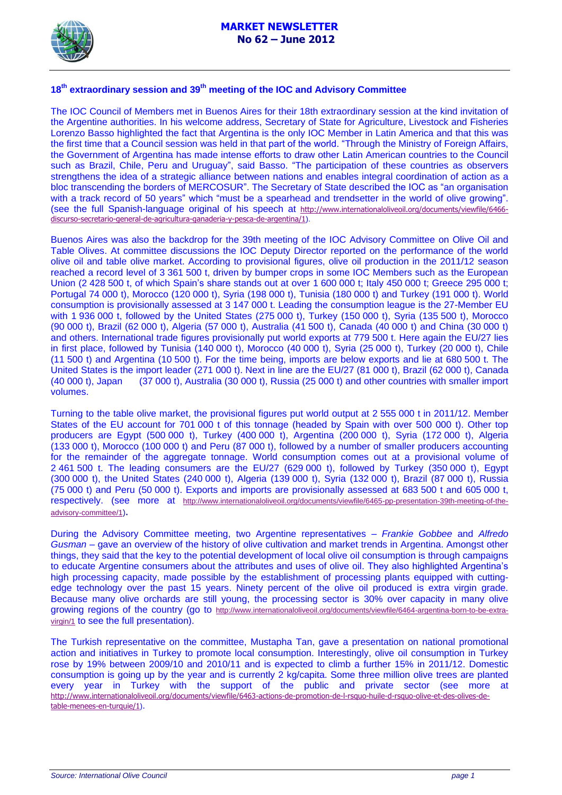

# **18th extraordinary session and 39th meeting of the IOC and Advisory Committee**

The IOC Council of Members met in Buenos Aires for their 18th extraordinary session at the kind invitation of the Argentine authorities. In his welcome address, Secretary of State for Agriculture, Livestock and Fisheries Lorenzo Basso highlighted the fact that Argentina is the only IOC Member in Latin America and that this was the first time that a Council session was held in that part of the world. "Through the Ministry of Foreign Affairs, the Government of Argentina has made intense efforts to draw other Latin American countries to the Council such as Brazil, Chile, Peru and Uruguay", said Basso. "The participation of these countries as observers strengthens the idea of a strategic alliance between nations and enables integral coordination of action as a bloc transcending the borders of MERCOSUR". The Secretary of State described the IOC as "an organisation with a track record of 50 years" which "must be a spearhead and trendsetter in the world of olive growing". (see the full Spanish-language original of his speech at [http://www.internationaloliveoil.org/documents/viewfile/6466](http://www.internationaloliveoil.org/documents/viewfile/6466-discurso-secretario-general-de-agricultura-ganaderia-y-pesca-de-argentina/1) [discurso-secretario-general-de-agricultura-ganaderia-y-pesca-de-argentina/1](http://www.internationaloliveoil.org/documents/viewfile/6466-discurso-secretario-general-de-agricultura-ganaderia-y-pesca-de-argentina/1)).

Buenos Aires was also the backdrop for the 39th meeting of the IOC Advisory Committee on Olive Oil and Table Olives. At committee discussions the IOC Deputy Director reported on the performance of the world olive oil and table olive market. According to provisional figures, olive oil production in the 2011/12 season reached a record level of 3 361 500 t, driven by bumper crops in some IOC Members such as the European Union (2 428 500 t, of which Spain's share stands out at over 1 600 000 t; Italy 450 000 t; Greece 295 000 t; Portugal 74 000 t), Morocco (120 000 t), Syria (198 000 t), Tunisia (180 000 t) and Turkey (191 000 t). World consumption is provisionally assessed at 3 147 000 t. Leading the consumption league is the 27-Member EU with 1 936 000 t, followed by the United States (275 000 t), Turkey (150 000 t), Syria (135 500 t), Morocco (90 000 t), Brazil (62 000 t), Algeria (57 000 t), Australia (41 500 t), Canada (40 000 t) and China (30 000 t) and others. International trade figures provisionally put world exports at 779 500 t. Here again the EU/27 lies in first place, followed by Tunisia (140 000 t), Morocco (40 000 t), Syria (25 000 t), Turkey (20 000 t), Chile (11 500 t) and Argentina (10 500 t). For the time being, imports are below exports and lie at 680 500 t. The United States is the import leader (271 000 t). Next in line are the EU/27 (81 000 t), Brazil (62 000 t), Canada (40 000 t), Japan (37 000 t), Australia (30 000 t), Russia (25 000 t) and other countries with smaller import volumes.

Turning to the table olive market, the provisional figures put world output at 2 555 000 t in 2011/12. Member States of the EU account for 701 000 t of this tonnage (headed by Spain with over 500 000 t). Other top producers are Egypt (500 000 t), Turkey (400 000 t), Argentina (200 000 t), Syria (172 000 t), Algeria (133 000 t), Morocco (100 000 t) and Peru (87 000 t), followed by a number of smaller producers accounting for the remainder of the aggregate tonnage. World consumption comes out at a provisional volume of 2 461 500 t. The leading consumers are the EU/27 (629 000 t), followed by Turkey (350 000 t), Egypt (300 000 t), the United States (240 000 t), Algeria (139 000 t), Syria (132 000 t), Brazil (87 000 t), Russia (75 000 t) and Peru (50 000 t). Exports and imports are provisionally assessed at 683 500 t and 605 000 t, respectively. (see more at [http://www.internationaloliveoil.org/documents/viewfile/6465-pp-presentation-39th-meeting-of-the](http://www.internationaloliveoil.org/documents/viewfile/6465-pp-presentation-39th-meeting-of-the-advisory-committee/1)[advisory-committee/1](http://www.internationaloliveoil.org/documents/viewfile/6465-pp-presentation-39th-meeting-of-the-advisory-committee/1)).

During the Advisory Committee meeting, two Argentine representatives – *Frankie Gobbee* and *Alfredo Gusman –* gave an overview of the history of olive cultivation and market trends in Argentina. Amongst other things, they said that the key to the potential development of local olive oil consumption is through campaigns to educate Argentine consumers about the attributes and uses of olive oil. They also highlighted Argentina's high processing capacity, made possible by the establishment of processing plants equipped with cuttingedge technology over the past 15 years. Ninety percent of the olive oil produced is extra virgin grade. Because many olive orchards are still young, the processing sector is 30% over capacity in many olive growing regions of the country (go to [http://www.internationaloliveoil.org/documents/viewfile/6464-argentina-born-to-be-extra](http://www.internationaloliveoil.org/documents/viewfile/6464-argentina-born-to-be-extra-virgin/1)[virgin/1](http://www.internationaloliveoil.org/documents/viewfile/6464-argentina-born-to-be-extra-virgin/1) to see the full presentation).

The Turkish representative on the committee, Mustapha Tan, gave a presentation on national promotional action and initiatives in Turkey to promote local consumption. Interestingly, olive oil consumption in Turkey rose by 19% between 2009/10 and 2010/11 and is expected to climb a further 15% in 2011/12. Domestic consumption is going up by the year and is currently 2 kg/capita. Some three million olive trees are planted every year in Turkey with the support of the public and private sector (see more at [http://www.internationaloliveoil.org/documents/viewfile/6463-actions-de-promotion-de-l-rsquo-huile-d-rsquo-olive-et-des-olives-de](http://www.internationaloliveoil.org/documents/viewfile/6463-actions-de-promotion-de-l-rsquo-huile-d-rsquo-olive-et-des-olives-de-table-menees-en-turquie/1)[table-menees-en-turquie/1](http://www.internationaloliveoil.org/documents/viewfile/6463-actions-de-promotion-de-l-rsquo-huile-d-rsquo-olive-et-des-olives-de-table-menees-en-turquie/1)).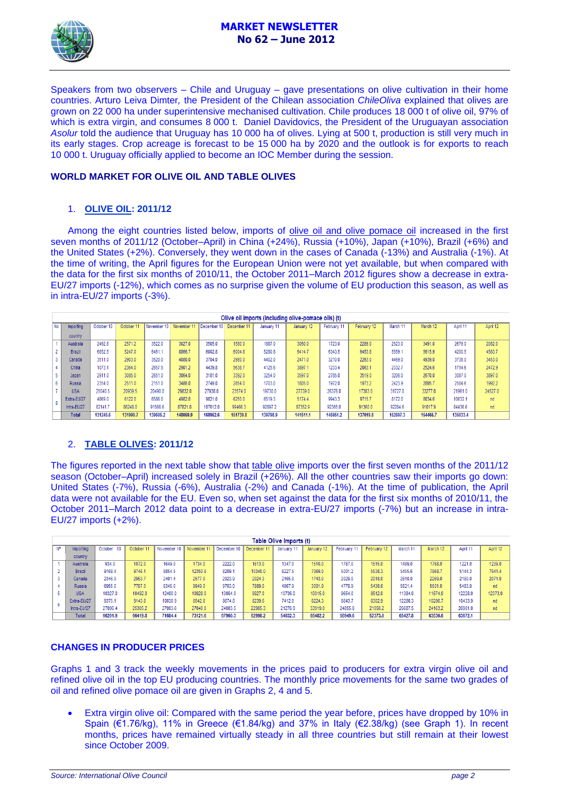

Speakers from two observers – Chile and Uruguay – gave presentations on olive cultivation in their home countries. Arturo Leiva Dimter*,* the President of the Chilean association *ChileOliva* explained that olives are grown on 22 000 ha under superintensive mechanised cultivation. Chile produces 18 000 t of olive oil, 97% of which is extra virgin, and consumes 8 000 t. Daniel Davidovics, the President of the Uruguayan association *Asolur* told the audience that Uruguay has 10 000 ha of olives. Lying at 500 t, production is still very much in its early stages. Crop acreage is forecast to be 15 000 ha by 2020 and the outlook is for exports to reach 10 000 t. Uruguay officially applied to become an IOC Member during the session.

### **WORLD MARKET FOR OLIVE OIL AND TABLE OLIVES**

#### 1. **OLIVE OIL: 2011/12**

Among the eight countries listed below, imports of olive oil and olive pomace oil increased in the first seven months of 2011/12 (October–April) in China (+24%), Russia (+10%), Japan (+10%), Brazil (+6%) and the United States (+2%). Conversely, they went down in the cases of Canada (-13%) and Australia (-1%). At the time of writing, the April figures for the European Union were not yet available, but when compared with the data for the first six months of 2010/11, the October 2011–March 2012 figures show a decrease in extra-EU/27 imports (-12%), which comes as no surprise given the volume of EU production this season, as well as in intra-EU/27 imports (-3%).

|      | Olive oil imports (including olive-pomace oils) (t) |            |            |             |             |             |             |            |            |             |             |          |          |          |          |
|------|-----------------------------------------------------|------------|------------|-------------|-------------|-------------|-------------|------------|------------|-------------|-------------|----------|----------|----------|----------|
| No I | Importing                                           | October 10 | October 11 | November 10 | November 11 | December 10 | December 11 | January 11 | January 12 | February 11 | February 12 | March 11 | March 12 | April 11 | April 12 |
|      | country                                             |            |            |             |             |             |             |            |            |             |             |          |          |          |          |
|      | Australia                                           | 2492.8     | 2571.2     | 3522.0      | 3027.0      | 3505.0      | 1580.0      | 1887.0     | 3060.0     | 1723.0      | 2289.0      | 2523.0   | 3491.0   | 2679.0   | 2082.0   |
|      | <b>Brazil</b>                                       | 6852.5     | 5247.0     | 6461.1      | 8866.7      | 6002.8      | 6004.8      | 5280.8     | 6414.7     | 6343.5      | 6453.8      | 5559.1   | 5615.9   | 4200.5   | 4583.7   |
|      | Canada                                              | 3511.0     | 2903.0     | 3520.0      | 4080.0      | 3704.0      | 2980.0      | 4402.0     | 2471.0     | 3210.0      | 2263.0      | 4469.0   | 4939.0   | 3738.0   | 3453.0   |
|      | China                                               | 1073.1     | 2364.0     | 2657.5      | 2901.2      | 4439.8      | 5638.7      | 4125.6     | 3897.1     | 1233.4      | 2063.1      | 2332.7   | 2524.6   | 1714.6   | 2472.9   |
|      | Japan                                               | 2911.0     | 3085.0     | 2651.0      | 3064.0      | 3181.0      | 3392.0      | 3254.0     | 3597.0     | 2785.0      | 3519.0      | 3206.0   | 2670.0   | 3087.0   | 3897.0   |
| 6    | <b>Russia</b>                                       | 2354.0     | 2511.0     | 2151.0      | 3486.0      | 2749.0      | 2854.0      | 1703.0     | 1805.0     | 1972.0      | 1973.2      | 2423.9   | 2895.7   | 2584.6   | 1992.2   |
|      | <b>USA</b>                                          | 25040.5    | 20939.5    | 20490.0     | 29832.0     | 27938.0     | 23574.0     | 19730.0    | 27739.0    | 26376.0     | 17383.0     | 31727.0  | 33277.0  | 21961.0  | 24527.0  |
|      | Extra-EU/27                                         | 4869.0     | 6122.0     | 6586.0      | 4982.0      | 9821.0      | 6250.0      | 6519.3     | 5174.4     | 9943.3      | 9715.7      | 8172.0   | 8034.6   | 10632.1  | nd       |
|      | Intra-EU/27                                         | 82141.7    | 86248.0    | 91566.6     | 87821.0     | 107612.0    | 99466.3     | 92897.2    | 87352.9    | 92365.0     | 91360.0     | 92284.6  | 91017.9  | 84436.6  | nd       |
|      | <b>Total</b>                                        | 131245.6   | 131990.7   | 139605.2    | 148059.9    | 168952.6    | 151739.8    | 139798.9   | 141511.1   | 145951.2    | 137019.8    | 152697.3 | 154465.7 | 135033.4 |          |

## 2. **TABLE OLIVES: 2011/12**

The figures reported in the next table show that table olive imports over the first seven months of the 2011/12 season (October–April) increased solely in Brazil (+26%). All the other countries saw their imports go down: United States (-7%), Russia (-6%), Australia (-2%) and Canada (-1%). At the time of publication, the April data were not available for the EU. Even so, when set against the data for the first six months of 2010/11, the October 2011–March 2012 data point to a decrease in extra-EU/27 imports (-7%) but an increase in intra-EU/27 imports (+2%).

|           | Table Olive Imports (t) |               |           |             |             |             |             |            |            |             |             |          |          |          |          |
|-----------|-------------------------|---------------|-----------|-------------|-------------|-------------|-------------|------------|------------|-------------|-------------|----------|----------|----------|----------|
| <b>N°</b> | Importing               | October<br>10 | October 1 | November 10 | November 11 | December 10 | December 11 | January 11 | January 12 | February 11 | February 12 | March 11 | March 12 | April 11 | April 12 |
|           | country                 |               |           |             |             |             |             |            |            |             |             |          |          |          |          |
|           | Australia               | 934.0         | 1072.0    | 1649.0      | 1734.0      | 2222.0      | 1613.0      | 1347.0     | 1510.0     | 1787.0      | 1515.0      | 1489.0   | 1768.0   | 1221.0   | 1239.0   |
|           | Brazil                  | 9168.4        | 9746.1    | 8854.5      | 12350.8     | 8209.       | 10340.0     | 6227.5     | 7069.0     | 5001.2      | 5538.3      | 5455.6   | 7868.    | 5144.3   | 7641.4   |
|           | Canada                  | 2346.0        | 2953.7    | 2401.4      | 2577.0      | 2023.9      | 2024.3      | 2165.0     | 1743.0     | 2029.0      | 2018.0      | 2610.0   | 2269.0   | 2180.0   | 2071.0   |
|           | <b>Russia</b>           | 6955.0        | 7707.0    | 9345.0      | 9949.0      | 9763.0      | 7889.0      | 4867.9     | 3001.9     | 4778.9      | 5430.6      | 5521.4   | 5501.0   | 5483.9   | nd       |
|           | <b>USA</b>              | 10327.0       | 10492.0   | 12400.0     | 10928.0     | 13064.0     | 9927.0      | 10736.0    | 10015.0    | 9654.0      | 8512.0      | 11384.0  | 11674.0  | 2228.0   | 12373.0  |
| 6         | Extra-EU/27             | 9375.1        | 9143.8    | 10030.9     | 8542.8      | 8674.8      | 8239.6      | 7412.0     | 8224.3     | 8843.7      | 8302.9      | 12280.3  | 10286.7  | 10433.9  | nd       |
|           | Intra-EU/27             | 27096.4       | 25305.2   | 27003.6     | 27040.0     | 24003.5     | 22965.3     | 21276.9    | 33919.0    | 24855.8     | 21056.2     | 26687.5  | 24163.2  | 26981.0  | nd       |
|           | Total                   | 66201.9       | 66419.8   | 71684.4     | 73121.6     | 67960.3     | 62998.2     | 54032.3    | 65482.2    | 56949.6     | 52373.0     | 65427.8  | 63530.6  | 63672.1  |          |

#### **CHANGES IN PRODUCER PRICES**

Graphs 1 and 3 track the weekly movements in the prices paid to producers for extra virgin olive oil and refined olive oil in the top EU producing countries. The monthly price movements for the same two grades of oil and refined olive pomace oil are given in Graphs 2, 4 and 5.

 Extra virgin olive oil: Compared with the same period the year before, prices have dropped by 10% in Spain (€1.76/kg), 11% in Greece (€1.84/kg) and 37% in Italy (€2.38/kg) (see Graph 1). In recent months, prices have remained virtually steady in all three countries but still remain at their lowest since October 2009.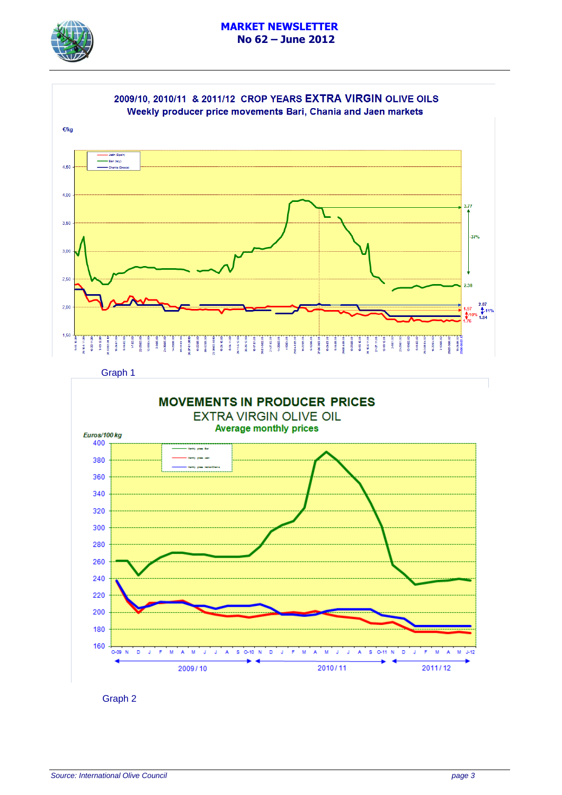



Graph 1



Graph 2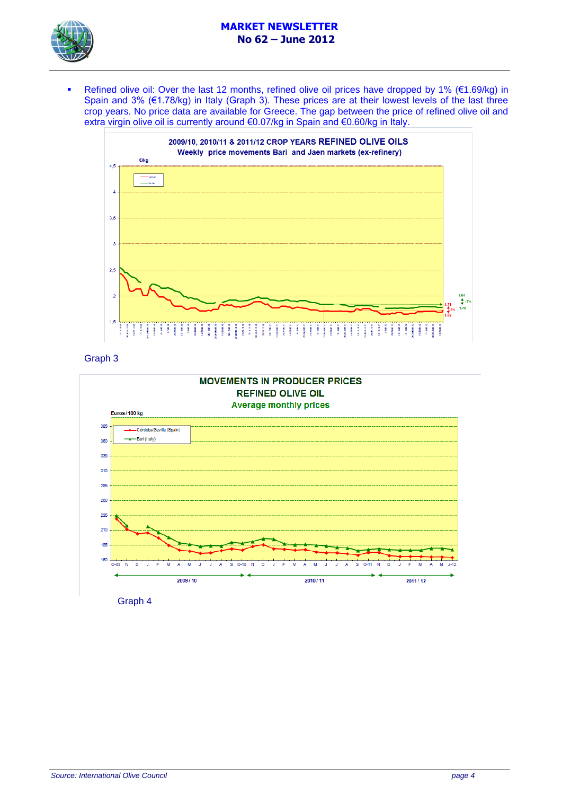## **MARKET NEWSLETTER No 62 – June 2012**



Refined olive oil: Over the last 12 months, refined olive oil prices have dropped by 1% (€1.69/kg) in Spain and 3% (€1.78/kg) in Italy (Graph 3). These prices are at their lowest levels of the last three crop years. No price data are available for Greece. The gap between the price of refined olive oil and extra virgin olive oil is currently around €0.07/kg in Spain and €0.60/kg in Italy.



Graph 3



Graph 4